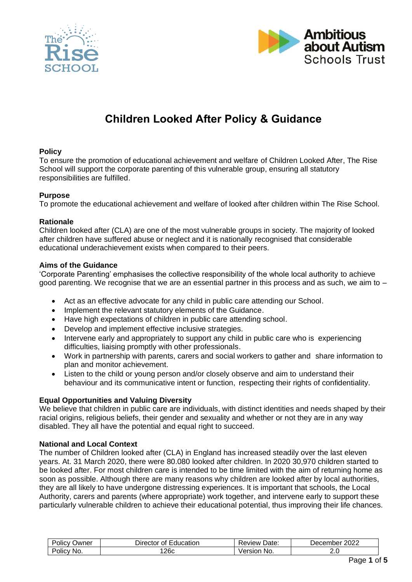



# **Children Looked After Policy & Guidance**

## **Policy**

To ensure the promotion of educational achievement and welfare of Children Looked After, The Rise School will support the corporate parenting of this vulnerable group, ensuring all statutory responsibilities are fulfilled.

#### **Purpose**

To promote the educational achievement and welfare of looked after children within The Rise School.

#### **Rationale**

Children looked after (CLA) are one of the most vulnerable groups in society. The majority of looked after children have suffered abuse or neglect and it is nationally recognised that considerable educational underachievement exists when compared to their peers.

#### **Aims of the Guidance**

'Corporate Parenting' emphasises the collective responsibility of the whole local authority to achieve good parenting. We recognise that we are an essential partner in this process and as such, we aim to –

- Act as an effective advocate for any child in public care attending our School.
- Implement the relevant statutory elements of the Guidance.
- Have high expectations of children in public care attending school.
- Develop and implement effective inclusive strategies.
- Intervene early and appropriately to support any child in public care who is experiencing difficulties, liaising promptly with other professionals.
- Work in partnership with parents, carers and social workers to gather and share information to plan and monitor achievement.
- Listen to the child or young person and/or closely observe and aim to understand their behaviour and its communicative intent or function, respecting their rights of confidentiality.

#### **Equal Opportunities and Valuing Diversity**

We believe that children in public care are individuals, with distinct identities and needs shaped by their racial origins, religious beliefs, their gender and sexuality and whether or not they are in any way disabled. They all have the potential and equal right to succeed.

#### **National and Local Context**

The number of Children looked after (CLA) in England has increased steadily over the last eleven years. At. 31 March 2020, there were 80.080 looked after children. In 2020 30,970 children started to be looked after. For most children care is intended to be time limited with the aim of returning home as soon as possible. Although there are many reasons why children are looked after by local authorities, they are all likely to have undergone distressing experiences. It is important that schools, the Local Authority, carers and parents (where appropriate) work together, and intervene early to support these particularly vulnerable children to achieve their educational potential, thus improving their life chances.

| $\overline{\phantom{0}}$<br>. .<br>שwner<br>$\sim$<br>olicv | -<br>ducation<br>⊃ırector<br>Ωt | Date<br>Review | റററ<br>December<br>ZUZZ |
|-------------------------------------------------------------|---------------------------------|----------------|-------------------------|
| NO.<br>olicy?                                               | 26c                             | No.<br>Version | z.u                     |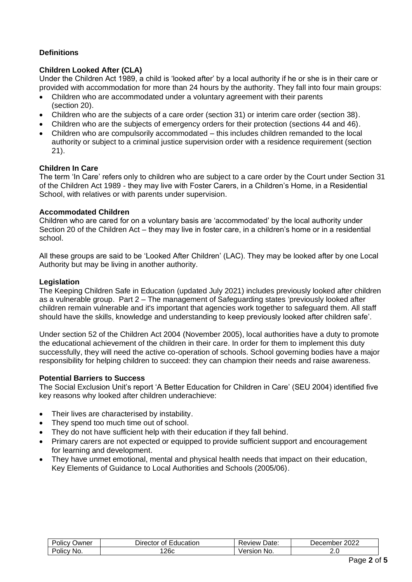# **Definitions**

## **Children Looked After (CLA)**

Under the Children Act 1989, a child is 'looked after' by a local authority if he or she is in their care or provided with accommodation for more than 24 hours by the authority. They fall into four main groups:

- Children who are accommodated under a voluntary agreement with their parents (section 20).
- Children who are the subjects of a care order (section 31) or interim care order (section 38).
- Children who are the subjects of emergency orders for their protection (sections 44 and 46).
- Children who are compulsorily accommodated this includes children remanded to the local authority or subject to a criminal justice supervision order with a residence requirement (section 21).

## **Children In Care**

The term 'In Care' refers only to children who are subject to a care order by the Court under Section 31 of the Children Act 1989 - they may live with Foster Carers, in a Children's Home, in a Residential School, with relatives or with parents under supervision.

## **Accommodated Children**

Children who are cared for on a voluntary basis are 'accommodated' by the local authority under Section 20 of the Children Act – they may live in foster care, in a children's home or in a residential school.

All these groups are said to be 'Looked After Children' (LAC). They may be looked after by one Local Authority but may be living in another authority.

#### **Legislation**

The Keeping Children Safe in Education (updated July 2021) includes previously looked after children as a vulnerable group. Part 2 – The management of Safeguarding states 'previously looked after children remain vulnerable and it's important that agencies work together to safeguard them. All staff should have the skills, knowledge and understanding to keep previously looked after children safe'.

Under section 52 of the Children Act 2004 (November 2005), local authorities have a duty to promote the educational achievement of the children in their care. In order for them to implement this duty successfully, they will need the active co-operation of schools. School governing bodies have a major responsibility for helping children to succeed: they can champion their needs and raise awareness.

## **Potential Barriers to Success**

The Social Exclusion Unit's report 'A Better Education for Children in Care' (SEU 2004) identified five key reasons why looked after children underachieve:

- Their lives are characterised by instability.
- They spend too much time out of school.
- They do not have sufficient help with their education if they fall behind.
- Primary carers are not expected or equipped to provide sufficient support and encouragement for learning and development.
- They have unmet emotional, mental and physical health needs that impact on their education, Key Elements of Guidance to Local Authorities and Schools (2005/06).

| $\overline{\phantom{0}}$<br>.<br>Jwner<br>olicv' | :ducation<br>⊃ırector<br>Ωt | Date:<br><b>Review</b> | 2022<br>December |
|--------------------------------------------------|-----------------------------|------------------------|------------------|
| No.<br>olicv-                                    | 26c                         | ersion<br>No.<br>আ     | <u>J</u>         |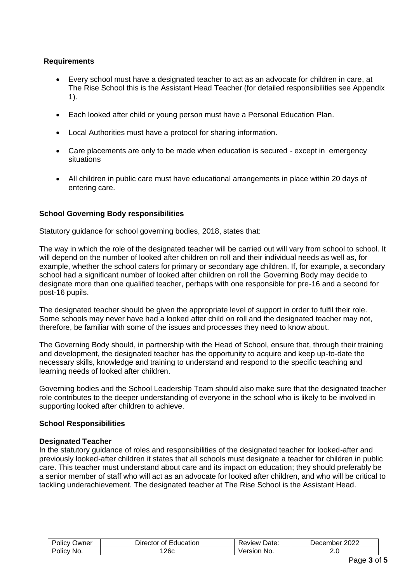## **Requirements**

- Every school must have a designated teacher to act as an advocate for children in care, at The Rise School this is the Assistant Head Teacher (for detailed responsibilities see Appendix 1).
- Each looked after child or young person must have a Personal Education Plan.
- Local Authorities must have a protocol for sharing information.
- Care placements are only to be made when education is secured except in emergency situations
- All children in public care must have educational arrangements in place within 20 days of entering care.

## **School Governing Body responsibilities**

Statutory guidance for school governing bodies, 2018, states that:

The way in which the role of the designated teacher will be carried out will vary from school to school. It will depend on the number of looked after children on roll and their individual needs as well as, for example, whether the school caters for primary or secondary age children. If, for example, a secondary school had a significant number of looked after children on roll the Governing Body may decide to designate more than one qualified teacher, perhaps with one responsible for pre-16 and a second for post-16 pupils.

The designated teacher should be given the appropriate level of support in order to fulfil their role. Some schools may never have had a looked after child on roll and the designated teacher may not, therefore, be familiar with some of the issues and processes they need to know about.

The Governing Body should, in partnership with the Head of School, ensure that, through their training and development, the designated teacher has the opportunity to acquire and keep up-to-date the necessary skills, knowledge and training to understand and respond to the specific teaching and learning needs of looked after children.

Governing bodies and the School Leadership Team should also make sure that the designated teacher role contributes to the deeper understanding of everyone in the school who is likely to be involved in supporting looked after children to achieve.

## **School Responsibilities**

## **Designated Teacher**

In the statutory guidance of roles and responsibilities of the designated teacher for looked-after and previously looked-after children it states that all schools must designate a teacher for children in public care. This teacher must understand about care and its impact on education; they should preferably be a senior member of staff who will act as an advocate for looked after children, and who will be critical to tackling underachievement. The designated teacher at The Rise School is the Assistant Head.

| . .<br>-<br>Jwner<br><b>'OliC\</b> | - '<br>-<br>:ducation<br>Director<br>Οt | Date:<br>'eview. | 2022<br>December |
|------------------------------------|-----------------------------------------|------------------|------------------|
| -<br>No.<br><b>'OliC\</b>          | 26c                                     | Version<br>No.   | 2.J              |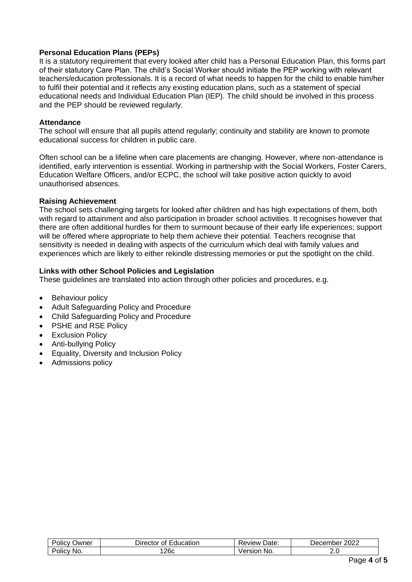## **Personal Education Plans (PEPs)**

It is a statutory requirement that every looked after child has a Personal Education Plan, this forms part of their statutory Care Plan. The child's Social Worker should initiate the PEP working with relevant teachers/education professionals. It is a record of what needs to happen for the child to enable him/her to fulfil their potential and it reflects any existing education plans, such as a statement of special educational needs and Individual Education Plan (IEP). The child should be involved in this process and the PEP should be reviewed regularly.

#### **Attendance**

The school will ensure that all pupils attend regularly; continuity and stability are known to promote educational success for children in public care.

Often school can be a lifeline when care placements are changing. However, where non-attendance is identified, early intervention is essential. Working in partnership with the Social Workers, Foster Carers, Education Welfare Officers, and/or ECPC, the school will take positive action quickly to avoid unauthorised absences.

#### **Raising Achievement**

The school sets challenging targets for looked after children and has high expectations of them, both with regard to attainment and also participation in broader school activities. It recognises however that there are often additional hurdles for them to surmount because of their early life experiences; support will be offered where appropriate to help them achieve their potential. Teachers recognise that sensitivity is needed in dealing with aspects of the curriculum which deal with family values and experiences which are likely to either rekindle distressing memories or put the spotlight on the child.

## **Links with other School Policies and Legislation**

These guidelines are translated into action through other policies and procedures, e.g.

- Behaviour policy
- Adult Safeguarding Policy and Procedure
- Child Safeguarding Policy and Procedure
- PSHE and RSE Policy
- Exclusion Policy
- Anti-bullying Policy
- Equality, Diversity and Inclusion Policy
- Admissions policy

| -<br>. .<br>)wner<br>יווט | ducation<br>OГ<br>лог<br>апог<br>↽ | Date<br>⊃∨iew .      | റററ<br>.nber<br>Uecem.<br>LULL |
|---------------------------|------------------------------------|----------------------|--------------------------------|
| -<br>No.<br>JIIC'         | ∠∪ບ                                | No.<br>ersion<br>. . | <u>. . v</u>                   |